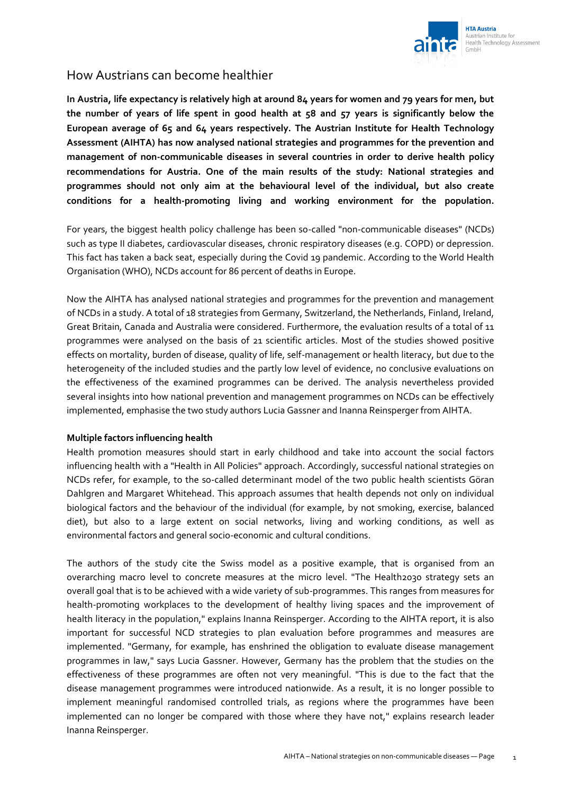

# How Austrians can become healthier

**In Austria, life expectancy is relatively high at around 84 years for women and 79 years for men, but the number of years of life spent in good health at 58 and 57 years is significantly below the European average of 65 and 64 years respectively. The Austrian Institute for Health Technology Assessment (AIHTA) has now analysed national strategies and programmes for the prevention and management of non-communicable diseases in several countries in order to derive health policy recommendations for Austria. One of the main results of the study: National strategies and programmes should not only aim at the behavioural level of the individual, but also create conditions for a health-promoting living and working environment for the population.**

For years, the biggest health policy challenge has been so-called "non-communicable diseases" (NCDs) such as type II diabetes, cardiovascular diseases, chronic respiratory diseases (e.g. COPD) or depression. This fact has taken a back seat, especially during the Covid 19 pandemic. According to the World Health Organisation (WHO), NCDs account for 86 percent of deaths in Europe.

Now the AIHTA has analysed national strategies and programmes for the prevention and management of NCDs in a study. A total of 18 strategies from Germany, Switzerland, the Netherlands, Finland, Ireland, Great Britain, Canada and Australia were considered. Furthermore, the evaluation results of a total of 11 programmes were analysed on the basis of 21 scientific articles. Most of the studies showed positive effects on mortality, burden of disease, quality of life, self-management or health literacy, but due to the heterogeneity of the included studies and the partly low level of evidence, no conclusive evaluations on the effectiveness of the examined programmes can be derived. The analysis nevertheless provided several insights into how national prevention and management programmes on NCDs can be effectively implemented, emphasise the two study authors Lucia Gassner and Inanna Reinsperger from AIHTA.

## **Multiple factors influencing health**

Health promotion measures should start in early childhood and take into account the social factors influencing health with a "Health in All Policies" approach. Accordingly, successful national strategies on NCDs refer, for example, to the so-called determinant model of the two public health scientists Göran Dahlgren and Margaret Whitehead. This approach assumes that health depends not only on individual biological factors and the behaviour of the individual (for example, by not smoking, exercise, balanced diet), but also to a large extent on social networks, living and working conditions, as well as environmental factors and general socio-economic and cultural conditions.

The authors of the study cite the Swiss model as a positive example, that is organised from an overarching macro level to concrete measures at the micro level. "The Health2030 strategy sets an overall goal that is to be achieved with a wide variety of sub-programmes. This ranges from measures for health-promoting workplaces to the development of healthy living spaces and the improvement of health literacy in the population," explains Inanna Reinsperger. According to the AIHTA report, it is also important for successful NCD strategies to plan evaluation before programmes and measures are implemented. "Germany, for example, has enshrined the obligation to evaluate disease management programmes in law," says Lucia Gassner. However, Germany has the problem that the studies on the effectiveness of these programmes are often not very meaningful. "This is due to the fact that the disease management programmes were introduced nationwide. As a result, it is no longer possible to implement meaningful randomised controlled trials, as regions where the programmes have been implemented can no longer be compared with those where they have not," explains research leader Inanna Reinsperger.